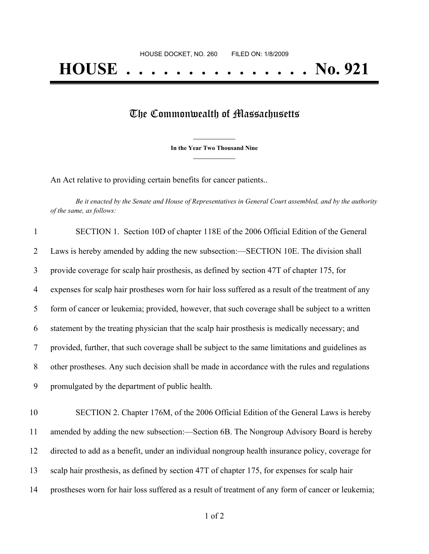## The Commonwealth of Massachusetts

**\_\_\_\_\_\_\_\_\_\_\_\_\_\_\_ In the Year Two Thousand Nine \_\_\_\_\_\_\_\_\_\_\_\_\_\_\_**

An Act relative to providing certain benefits for cancer patients..

Be it enacted by the Senate and House of Representatives in General Court assembled, and by the authority *of the same, as follows:*

| $\mathbf{1}$   | SECTION 1. Section 10D of chapter 118E of the 2006 Official Edition of the General                 |
|----------------|----------------------------------------------------------------------------------------------------|
| 2              | Laws is hereby amended by adding the new subsection:—SECTION 10E. The division shall               |
| 3              | provide coverage for scalp hair prosthesis, as defined by section 47T of chapter 175, for          |
| 4              | expenses for scalp hair prostheses worn for hair loss suffered as a result of the treatment of any |
| 5 <sup>5</sup> | form of cancer or leukemia; provided, however, that such coverage shall be subject to a written    |
| 6              | statement by the treating physician that the scalp hair prosthesis is medically necessary; and     |
| $\tau$         | provided, further, that such coverage shall be subject to the same limitations and guidelines as   |
| 8              | other prostheses. Any such decision shall be made in accordance with the rules and regulations     |
| 9              | promulgated by the department of public health.                                                    |
|                |                                                                                                    |

 SECTION 2. Chapter 176M, of the 2006 Official Edition of the General Laws is hereby amended by adding the new subsection:—Section 6B. The Nongroup Advisory Board is hereby directed to add as a benefit, under an individual nongroup health insurance policy, coverage for scalp hair prosthesis, as defined by section 47T of chapter 175, for expenses for scalp hair prostheses worn for hair loss suffered as a result of treatment of any form of cancer or leukemia;